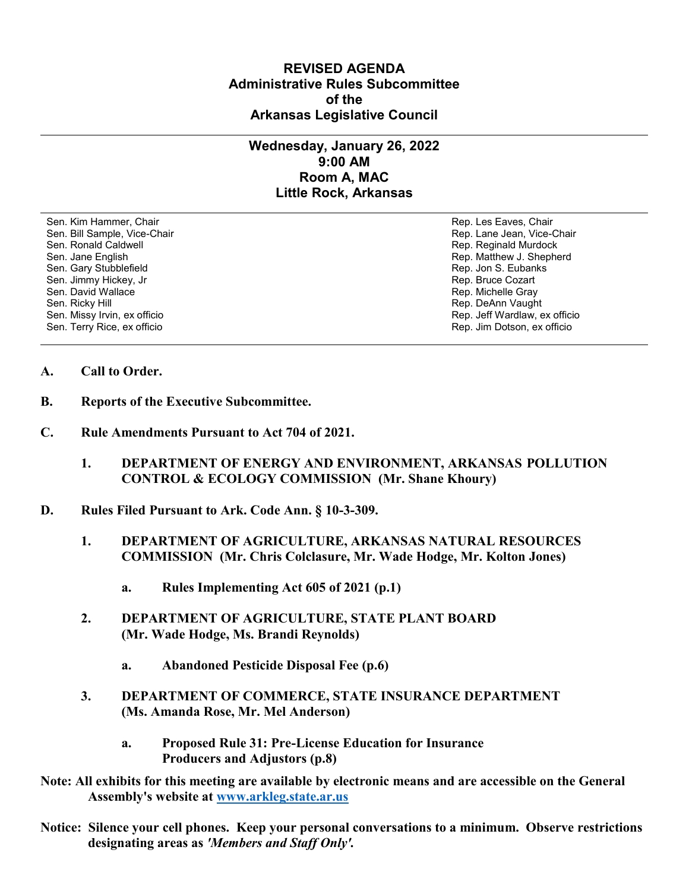## **REVISED AGENDA Administrative Rules Subcommittee of the Arkansas Legislative Council**

## **Wednesday, January 26, 2022 9:00 AM Room A, MAC Little Rock, Arkansas**

Sen. Kim Hammer, Chair Rep. Les Eaves, Chair Rep. Les Eaves, Chair Rep. Les Eaves, Chair Sen. Bill Sample, Vice-Chair November 1999, New York 1999, New York 1999, New York 1999, New York 1999, New York 1999 Sen. Ronald Caldwell **Rep. Reginald Murdock** Rep. Reginald Murdock Sen. Jane English Rep. Matthew J. Shepherd Sen. Gary Stubblefield **Rep. 3. Eubanks** Sen. Gary Stubblefield Sen. Jimmy Hickey, Jr Sen. Jimmy Hickey, Jr Rep. Bruce Cozart<br>Sen. David Wallace Sen. Bruce Cozart Sen. David Wallace Sen. David Wallace New York (1999) Sen. David Wallace New York (1999) Sen. Richelle Gray (1999) Sen. Richelle Gray<br>Rep. DeAnn Vaugh Sen. Missy Irvin, ex officio Sen. Terry Rice, ex officio Rep. Jim Dotson, ex officio

Rep. DeAnn Vaught<br>Rep. Jeff Wardlaw, ex officio

- **A. Call to Order.**
- **B. Reports of the Executive Subcommittee.**
- **C. Rule Amendments Pursuant to Act 704 of 2021.**
	- **1. DEPARTMENT OF ENERGY AND ENVIRONMENT, ARKANSAS POLLUTION CONTROL & ECOLOGY COMMISSION (Mr. Shane Khoury)**
- **D. Rules Filed Pursuant to Ark. Code Ann. § 10-3-309.**
	- **1. DEPARTMENT OF AGRICULTURE, ARKANSAS NATURAL RESOURCES COMMISSION (Mr. Chris Colclasure, Mr. Wade Hodge, Mr. Kolton Jones)**
		- **a. Rules Implementing Act 605 of 2021 (p.1)**
	- **2. DEPARTMENT OF AGRICULTURE, STATE PLANT BOARD (Mr. Wade Hodge, Ms. Brandi Reynolds)**
		- **a. Abandoned Pesticide Disposal Fee (p.6)**
	- **3. DEPARTMENT OF COMMERCE, STATE INSURANCE DEPARTMENT (Ms. Amanda Rose, Mr. Mel Anderson)**
		- **a. Proposed Rule 31: Pre-License Education for Insurance Producers and Adjustors (p.8)**
- **Note: All exhibits for this meeting are available by electronic means and are accessible on the General Assembly's website at [www.arkleg.state.ar.us](http://www.arkleg.state.ar.us)**
- **Notice: Silence your cell phones. Keep your personal conversations to a minimum. Observe restrictions designating areas as** *'Members and Staff Only'.*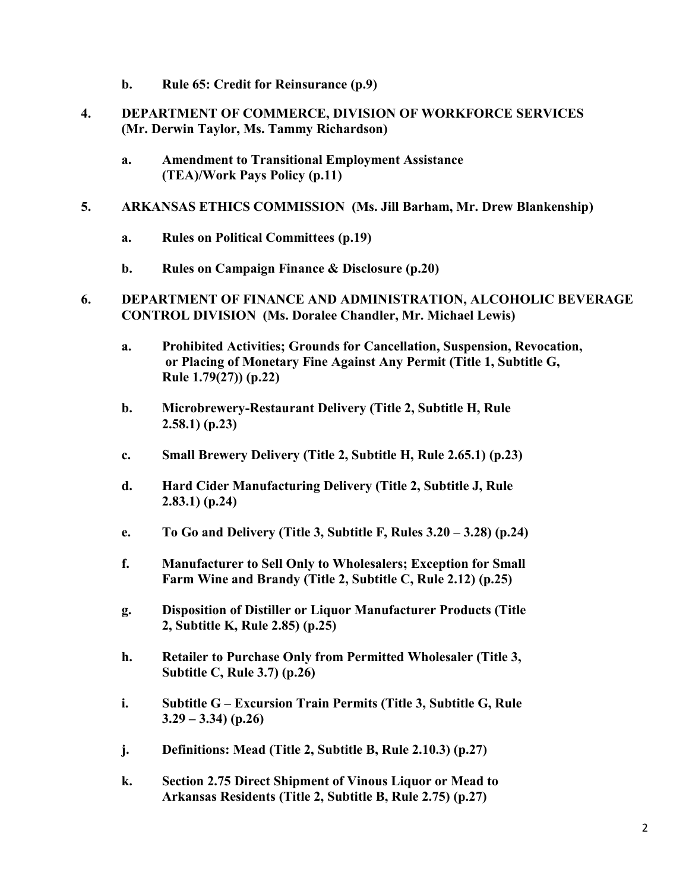- **b. Rule 65: Credit for Reinsurance (p.9)**
- **4. DEPARTMENT OF COMMERCE, DIVISION OF WORKFORCE SERVICES (Mr. Derwin Taylor, Ms. Tammy Richardson)**
	- **a. Amendment to Transitional Employment Assistance (TEA)/Work Pays Policy (p.11)**
- **5. ARKANSAS ETHICS COMMISSION (Ms. Jill Barham, Mr. Drew Blankenship)**
	- **a. Rules on Political Committees (p.19)**
	- **b. Rules on Campaign Finance & Disclosure (p.20)**
- **6. DEPARTMENT OF FINANCE AND ADMINISTRATION, ALCOHOLIC BEVERAGE CONTROL DIVISION (Ms. Doralee Chandler, Mr. Michael Lewis)**
	- **a. Prohibited Activities; Grounds for Cancellation, Suspension, Revocation, or Placing of Monetary Fine Against Any Permit (Title 1, Subtitle G, Rule 1.79(27)) (p.22)**
	- **b. Microbrewery-Restaurant Delivery (Title 2, Subtitle H, Rule 2.58.1) (p.23)**
	- **c. Small Brewery Delivery (Title 2, Subtitle H, Rule 2.65.1) (p.23)**
	- **d. Hard Cider Manufacturing Delivery (Title 2, Subtitle J, Rule 2.83.1) (p.24)**
	- **e. To Go and Delivery (Title 3, Subtitle F, Rules 3.20 – 3.28) (p.24)**
	- **f. Manufacturer to Sell Only to Wholesalers; Exception for Small Farm Wine and Brandy (Title 2, Subtitle C, Rule 2.12) (p.25)**
	- **g. Disposition of Distiller or Liquor Manufacturer Products (Title 2, Subtitle K, Rule 2.85) (p.25)**
	- **h. Retailer to Purchase Only from Permitted Wholesaler (Title 3, Subtitle C, Rule 3.7) (p.26)**
	- **i. Subtitle G – Excursion Train Permits (Title 3, Subtitle G, Rule 3.29 – 3.34) (p.26)**
	- **j. Definitions: Mead (Title 2, Subtitle B, Rule 2.10.3) (p.27)**
	- **k. Section 2.75 Direct Shipment of Vinous Liquor or Mead to Arkansas Residents (Title 2, Subtitle B, Rule 2.75) (p.27)**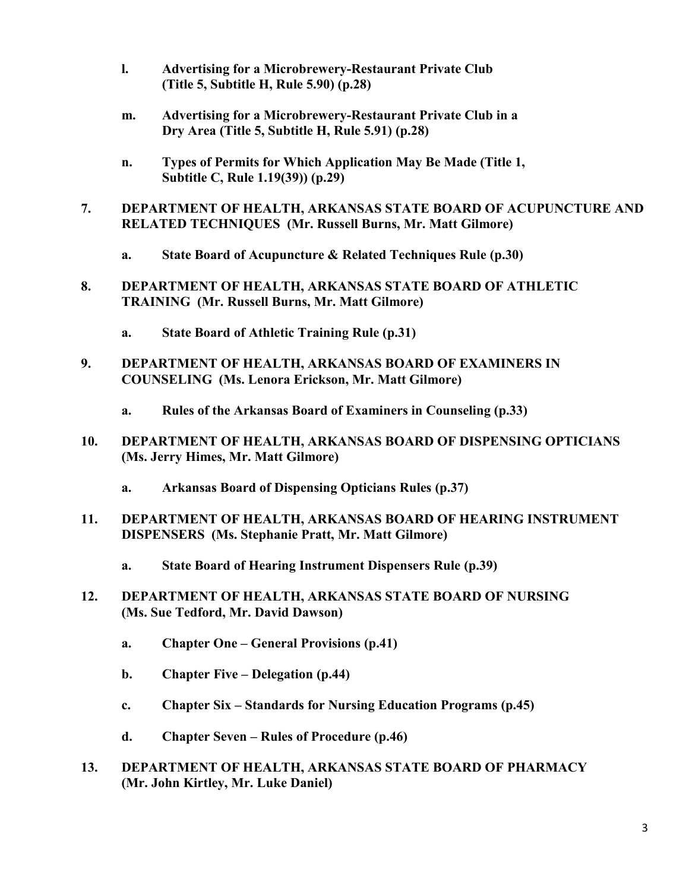- **l. Advertising for a Microbrewery-Restaurant Private Club (Title 5, Subtitle H, Rule 5.90) (p.28)**
- **m. Advertising for a Microbrewery-Restaurant Private Club in a Dry Area (Title 5, Subtitle H, Rule 5.91) (p.28)**
- **n. Types of Permits for Which Application May Be Made (Title 1, Subtitle C, Rule 1.19(39)) (p.29)**
- **7. DEPARTMENT OF HEALTH, ARKANSAS STATE BOARD OF ACUPUNCTURE AND RELATED TECHNIQUES (Mr. Russell Burns, Mr. Matt Gilmore)**
	- **a. State Board of Acupuncture & Related Techniques Rule (p.30)**
- **8. DEPARTMENT OF HEALTH, ARKANSAS STATE BOARD OF ATHLETIC TRAINING (Mr. Russell Burns, Mr. Matt Gilmore)**
	- **a. State Board of Athletic Training Rule (p.31)**
- **9. DEPARTMENT OF HEALTH, ARKANSAS BOARD OF EXAMINERS IN COUNSELING (Ms. Lenora Erickson, Mr. Matt Gilmore)**
	- **a. Rules of the Arkansas Board of Examiners in Counseling (p.33)**
- **10. DEPARTMENT OF HEALTH, ARKANSAS BOARD OF DISPENSING OPTICIANS (Ms. Jerry Himes, Mr. Matt Gilmore)**
	- **a. Arkansas Board of Dispensing Opticians Rules (p.37)**
- **11. DEPARTMENT OF HEALTH, ARKANSAS BOARD OF HEARING INSTRUMENT DISPENSERS (Ms. Stephanie Pratt, Mr. Matt Gilmore)**
	- **a. State Board of Hearing Instrument Dispensers Rule (p.39)**
- **12. DEPARTMENT OF HEALTH, ARKANSAS STATE BOARD OF NURSING (Ms. Sue Tedford, Mr. David Dawson)**
	- **a. Chapter One – General Provisions (p.41)**
	- **b. Chapter Five – Delegation (p.44)**
	- **c. Chapter Six – Standards for Nursing Education Programs (p.45)**
	- **d. Chapter Seven – Rules of Procedure (p.46)**
- **13. DEPARTMENT OF HEALTH, ARKANSAS STATE BOARD OF PHARMACY (Mr. John Kirtley, Mr. Luke Daniel)**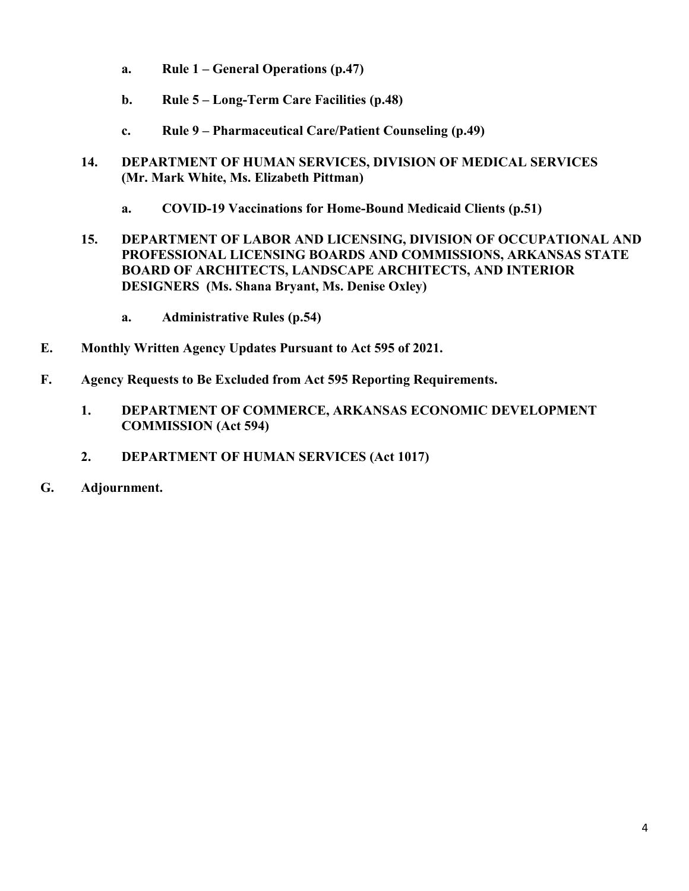- **a. Rule 1 – General Operations (p.47)**
- **b. Rule 5 – Long-Term Care Facilities (p.48)**
- **c. Rule 9 – Pharmaceutical Care/Patient Counseling (p.49)**
- **14. DEPARTMENT OF HUMAN SERVICES, DIVISION OF MEDICAL SERVICES (Mr. Mark White, Ms. Elizabeth Pittman)**
	- **a. COVID-19 Vaccinations for Home-Bound Medicaid Clients (p.51)**
- **15. DEPARTMENT OF LABOR AND LICENSING, DIVISION OF OCCUPATIONAL AND PROFESSIONAL LICENSING BOARDS AND COMMISSIONS, ARKANSAS STATE BOARD OF ARCHITECTS, LANDSCAPE ARCHITECTS, AND INTERIOR DESIGNERS (Ms. Shana Bryant, Ms. Denise Oxley)**
	- **a. Administrative Rules (p.54)**
- **E. Monthly Written Agency Updates Pursuant to Act 595 of 2021.**
- **F. Agency Requests to Be Excluded from Act 595 Reporting Requirements.**
	- **1. DEPARTMENT OF COMMERCE, ARKANSAS ECONOMIC DEVELOPMENT COMMISSION (Act 594)**
	- **2. DEPARTMENT OF HUMAN SERVICES (Act 1017)**
- **G. Adjournment.**